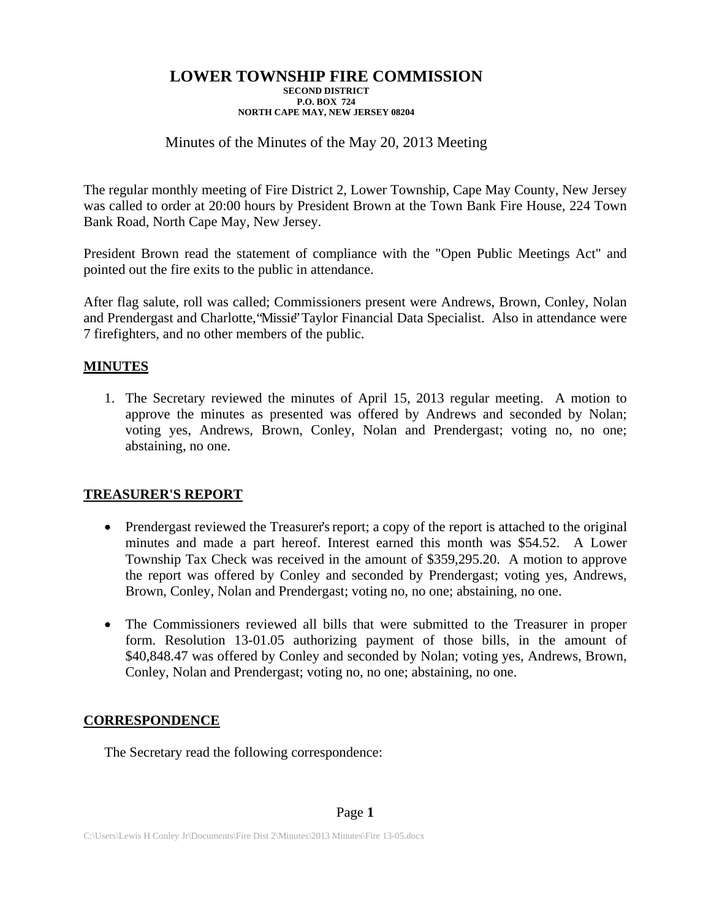# Minutes of the Minutes of the May 20, 2013 Meeting

The regular monthly meeting of Fire District 2, Lower Township, Cape May County, New Jersey was called to order at 20:00 hours by President Brown at the Town Bank Fire House, 224 Town Bank Road, North Cape May, New Jersey.

President Brown read the statement of compliance with the "Open Public Meetings Act" and pointed out the fire exits to the public in attendance.

After flag salute, roll was called; Commissioners present were Andrews, Brown, Conley, Nolan and Prendergast and Charlotte, "Missie" Taylor Financial Data Specialist. Also in attendance were 7 firefighters, and no other members of the public.

## **MINUTES**

1. The Secretary reviewed the minutes of April 15, 2013 regular meeting. A motion to approve the minutes as presented was offered by Andrews and seconded by Nolan; voting yes, Andrews, Brown, Conley, Nolan and Prendergast; voting no, no one; abstaining, no one.

### **TREASURER'S REPORT**

- Prendergast reviewed the Treasurer's report; a copy of the report is attached to the original minutes and made a part hereof. Interest earned this month was \$54.52. A Lower Township Tax Check was received in the amount of \$359,295.20. A motion to approve the report was offered by Conley and seconded by Prendergast; voting yes, Andrews, Brown, Conley, Nolan and Prendergast; voting no, no one; abstaining, no one.
- The Commissioners reviewed all bills that were submitted to the Treasurer in proper form. Resolution 13-01.05 authorizing payment of those bills, in the amount of \$40,848.47 was offered by Conley and seconded by Nolan; voting yes, Andrews, Brown, Conley, Nolan and Prendergast; voting no, no one; abstaining, no one.

# **CORRESPONDENCE**

The Secretary read the following correspondence: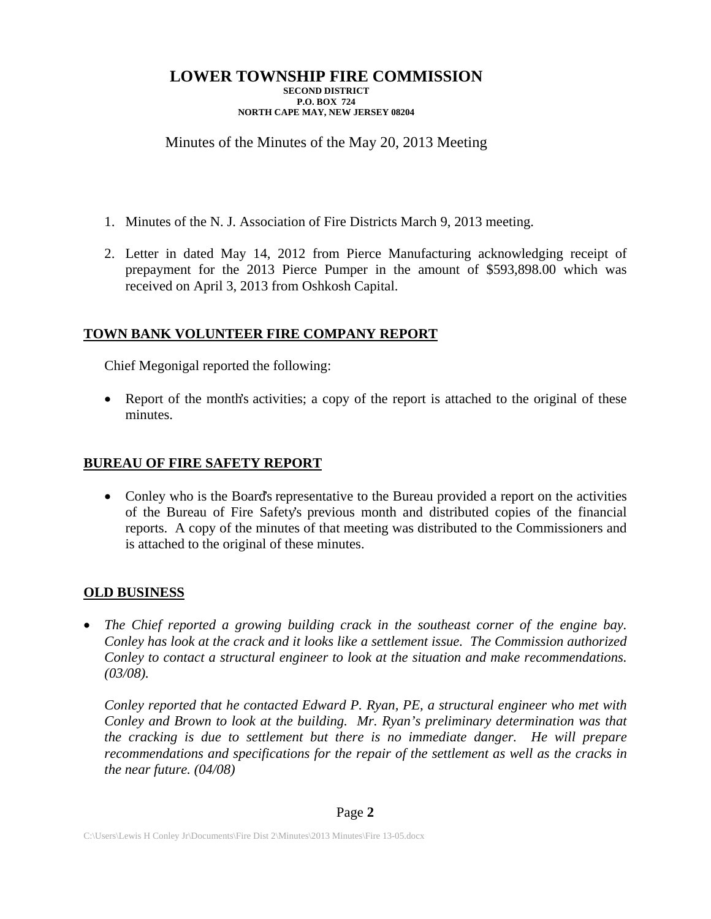## Minutes of the Minutes of the May 20, 2013 Meeting

- 1. Minutes of the N. J. Association of Fire Districts March 9, 2013 meeting.
- 2. Letter in dated May 14, 2012 from Pierce Manufacturing acknowledging receipt of prepayment for the 2013 Pierce Pumper in the amount of \$593,898.00 which was received on April 3, 2013 from Oshkosh Capital.

### **TOWN BANK VOLUNTEER FIRE COMPANY REPORT**

Chief Megonigal reported the following:

• Report of the month's activities; a copy of the report is attached to the original of these minutes.

## **BUREAU OF FIRE SAFETY REPORT**

• Conley who is the Board's representative to the Bureau provided a report on the activities of the Bureau of Fire Safety's previous month and distributed copies of the financial reports. A copy of the minutes of that meeting was distributed to the Commissioners and is attached to the original of these minutes.

### **OLD BUSINESS**

 *The Chief reported a growing building crack in the southeast corner of the engine bay. Conley has look at the crack and it looks like a settlement issue. The Commission authorized Conley to contact a structural engineer to look at the situation and make recommendations. (03/08).* 

*Conley reported that he contacted Edward P. Ryan, PE, a structural engineer who met with Conley and Brown to look at the building. Mr. Ryan's preliminary determination was that the cracking is due to settlement but there is no immediate danger. He will prepare recommendations and specifications for the repair of the settlement as well as the cracks in the near future. (04/08)*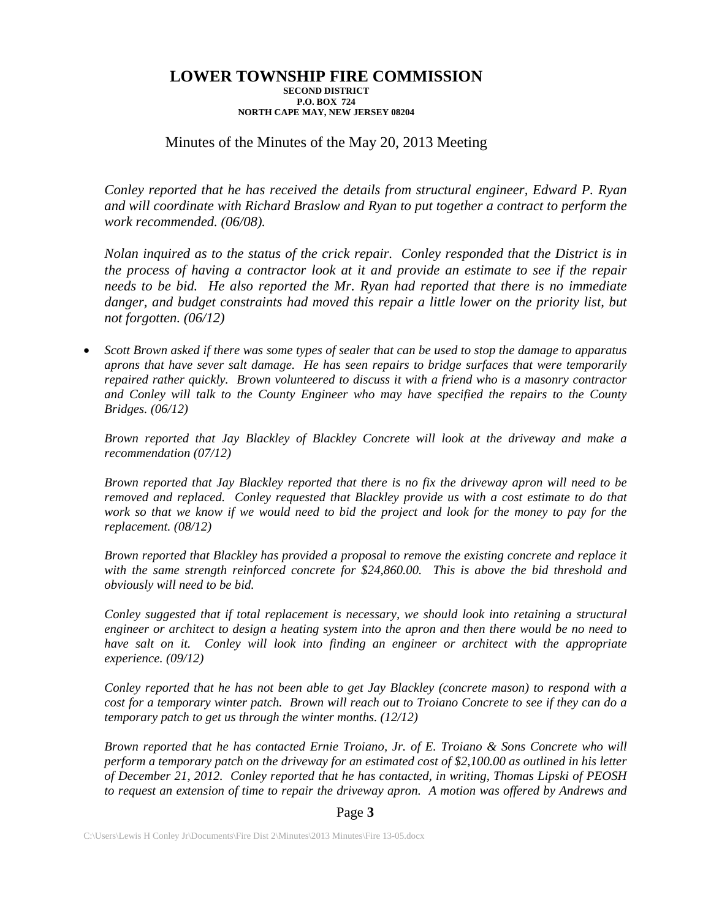## Minutes of the Minutes of the May 20, 2013 Meeting

*Conley reported that he has received the details from structural engineer, Edward P. Ryan and will coordinate with Richard Braslow and Ryan to put together a contract to perform the work recommended. (06/08).* 

*Nolan inquired as to the status of the crick repair. Conley responded that the District is in the process of having a contractor look at it and provide an estimate to see if the repair needs to be bid. He also reported the Mr. Ryan had reported that there is no immediate*  danger, and budget constraints had moved this repair a little lower on the priority list, but *not forgotten. (06/12)* 

 *Scott Brown asked if there was some types of sealer that can be used to stop the damage to apparatus aprons that have sever salt damage. He has seen repairs to bridge surfaces that were temporarily repaired rather quickly. Brown volunteered to discuss it with a friend who is a masonry contractor and Conley will talk to the County Engineer who may have specified the repairs to the County Bridges. (06/12)* 

*Brown reported that Jay Blackley of Blackley Concrete will look at the driveway and make a recommendation (07/12)* 

*Brown reported that Jay Blackley reported that there is no fix the driveway apron will need to be removed and replaced. Conley requested that Blackley provide us with a cost estimate to do that work so that we know if we would need to bid the project and look for the money to pay for the replacement. (08/12)* 

*Brown reported that Blackley has provided a proposal to remove the existing concrete and replace it with the same strength reinforced concrete for \$24,860.00. This is above the bid threshold and obviously will need to be bid.* 

*Conley suggested that if total replacement is necessary, we should look into retaining a structural engineer or architect to design a heating system into the apron and then there would be no need to*  have salt on it. Conley will look into finding an engineer or architect with the appropriate *experience. (09/12)* 

*Conley reported that he has not been able to get Jay Blackley (concrete mason) to respond with a cost for a temporary winter patch. Brown will reach out to Troiano Concrete to see if they can do a temporary patch to get us through the winter months. (12/12)* 

*Brown reported that he has contacted Ernie Troiano, Jr. of E. Troiano & Sons Concrete who will perform a temporary patch on the driveway for an estimated cost of \$2,100.00 as outlined in his letter of December 21, 2012. Conley reported that he has contacted, in writing, Thomas Lipski of PEOSH to request an extension of time to repair the driveway apron. A motion was offered by Andrews and* 

#### Page **3**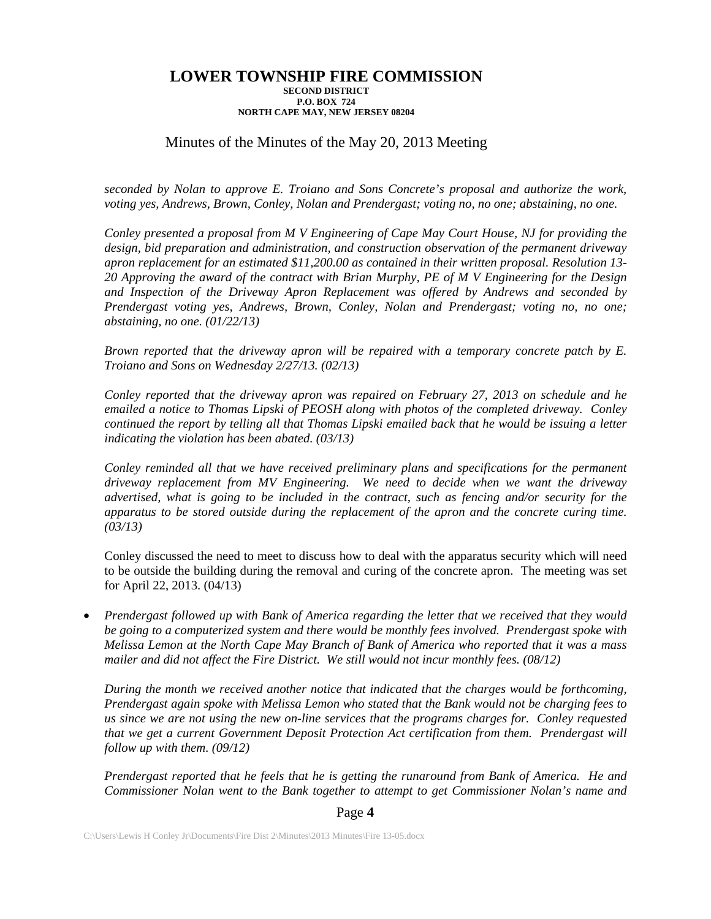## Minutes of the Minutes of the May 20, 2013 Meeting

*seconded by Nolan to approve E. Troiano and Sons Concrete's proposal and authorize the work, voting yes, Andrews, Brown, Conley, Nolan and Prendergast; voting no, no one; abstaining, no one.* 

*Conley presented a proposal from M V Engineering of Cape May Court House, NJ for providing the design, bid preparation and administration, and construction observation of the permanent driveway apron replacement for an estimated \$11,200.00 as contained in their written proposal. Resolution 13- 20 Approving the award of the contract with Brian Murphy, PE of M V Engineering for the Design and Inspection of the Driveway Apron Replacement was offered by Andrews and seconded by Prendergast voting yes, Andrews, Brown, Conley, Nolan and Prendergast; voting no, no one; abstaining, no one. (01/22/13)* 

*Brown reported that the driveway apron will be repaired with a temporary concrete patch by E. Troiano and Sons on Wednesday 2/27/13. (02/13)* 

*Conley reported that the driveway apron was repaired on February 27, 2013 on schedule and he emailed a notice to Thomas Lipski of PEOSH along with photos of the completed driveway. Conley continued the report by telling all that Thomas Lipski emailed back that he would be issuing a letter indicating the violation has been abated. (03/13)* 

*Conley reminded all that we have received preliminary plans and specifications for the permanent driveway replacement from MV Engineering. We need to decide when we want the driveway advertised, what is going to be included in the contract, such as fencing and/or security for the apparatus to be stored outside during the replacement of the apron and the concrete curing time. (03/13)* 

Conley discussed the need to meet to discuss how to deal with the apparatus security which will need to be outside the building during the removal and curing of the concrete apron. The meeting was set for April 22, 2013. (04/13)

 *Prendergast followed up with Bank of America regarding the letter that we received that they would be going to a computerized system and there would be monthly fees involved. Prendergast spoke with Melissa Lemon at the North Cape May Branch of Bank of America who reported that it was a mass mailer and did not affect the Fire District. We still would not incur monthly fees. (08/12)* 

*During the month we received another notice that indicated that the charges would be forthcoming, Prendergast again spoke with Melissa Lemon who stated that the Bank would not be charging fees to us since we are not using the new on-line services that the programs charges for. Conley requested that we get a current Government Deposit Protection Act certification from them. Prendergast will follow up with them. (09/12)* 

*Prendergast reported that he feels that he is getting the runaround from Bank of America. He and Commissioner Nolan went to the Bank together to attempt to get Commissioner Nolan's name and* 

#### Page **4**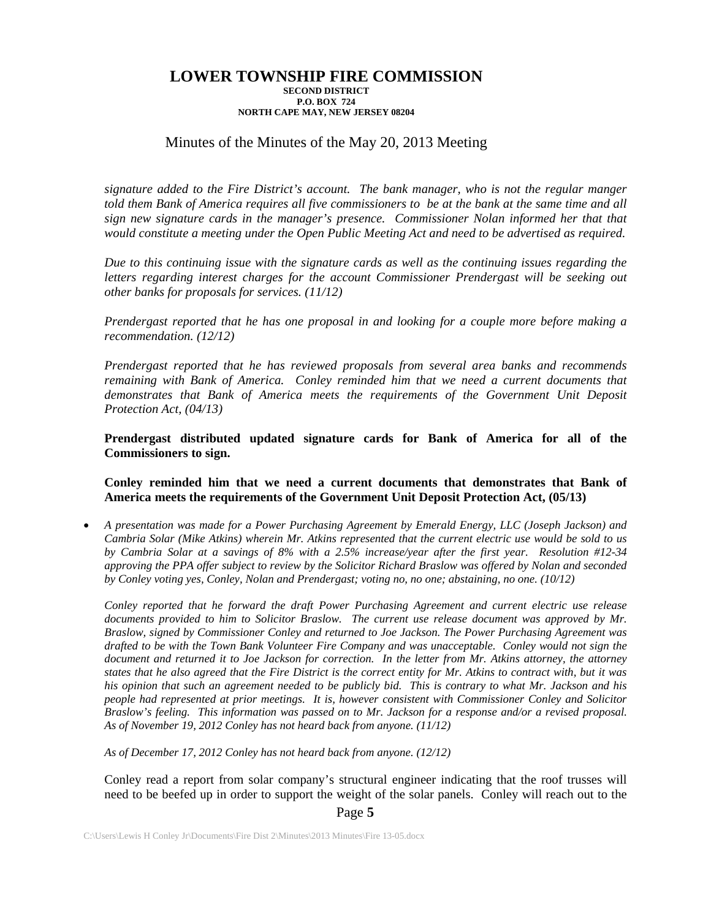### Minutes of the Minutes of the May 20, 2013 Meeting

*signature added to the Fire District's account. The bank manager, who is not the regular manger told them Bank of America requires all five commissioners to be at the bank at the same time and all sign new signature cards in the manager's presence. Commissioner Nolan informed her that that would constitute a meeting under the Open Public Meeting Act and need to be advertised as required.* 

*Due to this continuing issue with the signature cards as well as the continuing issues regarding the letters regarding interest charges for the account Commissioner Prendergast will be seeking out other banks for proposals for services. (11/12)* 

*Prendergast reported that he has one proposal in and looking for a couple more before making a recommendation. (12/12)* 

*Prendergast reported that he has reviewed proposals from several area banks and recommends remaining with Bank of America. Conley reminded him that we need a current documents that demonstrates that Bank of America meets the requirements of the Government Unit Deposit Protection Act, (04/13)* 

**Prendergast distributed updated signature cards for Bank of America for all of the Commissioners to sign.** 

#### **Conley reminded him that we need a current documents that demonstrates that Bank of America meets the requirements of the Government Unit Deposit Protection Act, (05/13)**

 *A presentation was made for a Power Purchasing Agreement by Emerald Energy, LLC (Joseph Jackson) and Cambria Solar (Mike Atkins) wherein Mr. Atkins represented that the current electric use would be sold to us by Cambria Solar at a savings of 8% with a 2.5% increase/year after the first year. Resolution #12-34 approving the PPA offer subject to review by the Solicitor Richard Braslow was offered by Nolan and seconded by Conley voting yes, Conley, Nolan and Prendergast; voting no, no one; abstaining, no one. (10/12)* 

*Conley reported that he forward the draft Power Purchasing Agreement and current electric use release documents provided to him to Solicitor Braslow. The current use release document was approved by Mr. Braslow, signed by Commissioner Conley and returned to Joe Jackson. The Power Purchasing Agreement was drafted to be with the Town Bank Volunteer Fire Company and was unacceptable. Conley would not sign the*  document and returned it to Joe Jackson for correction. In the letter from Mr. Atkins attorney, the attorney *states that he also agreed that the Fire District is the correct entity for Mr. Atkins to contract with, but it was his opinion that such an agreement needed to be publicly bid. This is contrary to what Mr. Jackson and his people had represented at prior meetings. It is, however consistent with Commissioner Conley and Solicitor Braslow's feeling. This information was passed on to Mr. Jackson for a response and/or a revised proposal. As of November 19, 2012 Conley has not heard back from anyone. (11/12)* 

*As of December 17, 2012 Conley has not heard back from anyone. (12/12)* 

Conley read a report from solar company's structural engineer indicating that the roof trusses will need to be beefed up in order to support the weight of the solar panels. Conley will reach out to the

Page **5**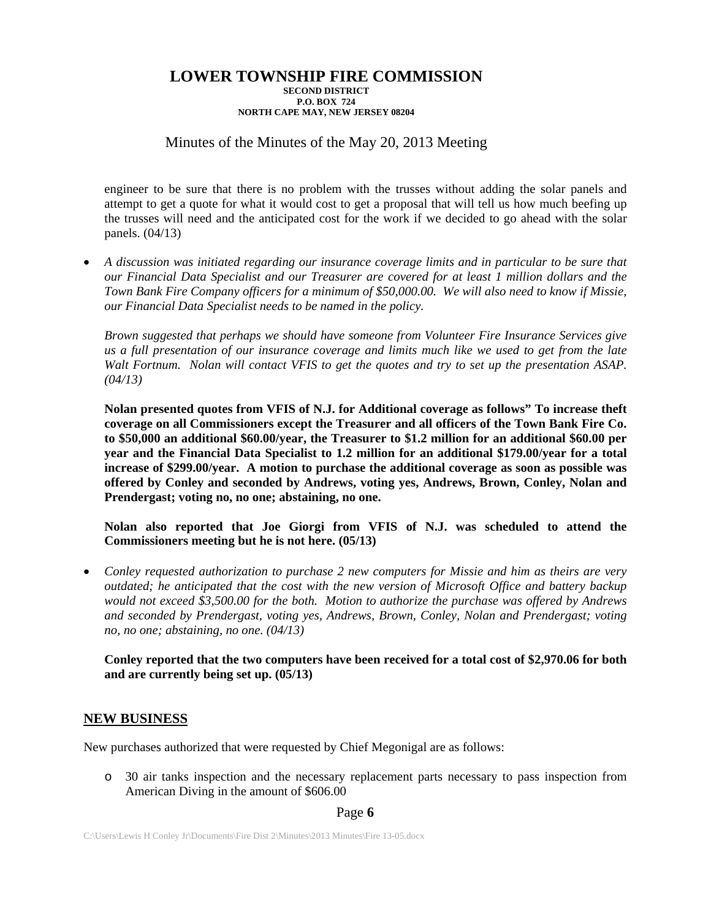## Minutes of the Minutes of the May 20, 2013 Meeting

engineer to be sure that there is no problem with the trusses without adding the solar panels and attempt to get a quote for what it would cost to get a proposal that will tell us how much beefing up the trusses will need and the anticipated cost for the work if we decided to go ahead with the solar panels. (04/13)

 *A discussion was initiated regarding our insurance coverage limits and in particular to be sure that our Financial Data Specialist and our Treasurer are covered for at least 1 million dollars and the Town Bank Fire Company officers for a minimum of \$50,000.00. We will also need to know if Missie, our Financial Data Specialist needs to be named in the policy.* 

*Brown suggested that perhaps we should have someone from Volunteer Fire Insurance Services give us a full presentation of our insurance coverage and limits much like we used to get from the late Walt Fortnum. Nolan will contact VFIS to get the quotes and try to set up the presentation ASAP. (04/13)* 

**Nolan presented quotes from VFIS of N.J. for Additional coverage as follows" To increase theft coverage on all Commissioners except the Treasurer and all officers of the Town Bank Fire Co. to \$50,000 an additional \$60.00/year, the Treasurer to \$1.2 million for an additional \$60.00 per year and the Financial Data Specialist to 1.2 million for an additional \$179.00/year for a total increase of \$299.00/year. A motion to purchase the additional coverage as soon as possible was offered by Conley and seconded by Andrews, voting yes, Andrews, Brown, Conley, Nolan and Prendergast; voting no, no one; abstaining, no one.** 

**Nolan also reported that Joe Giorgi from VFIS of N.J. was scheduled to attend the Commissioners meeting but he is not here. (05/13)** 

 *Conley requested authorization to purchase 2 new computers for Missie and him as theirs are very outdated; he anticipated that the cost with the new version of Microsoft Office and battery backup would not exceed \$3,500.00 for the both. Motion to authorize the purchase was offered by Andrews and seconded by Prendergast, voting yes, Andrews, Brown, Conley, Nolan and Prendergast; voting no, no one; abstaining, no one. (04/13)* 

**Conley reported that the two computers have been received for a total cost of \$2,970.06 for both and are currently being set up. (05/13)** 

### **NEW BUSINESS**

New purchases authorized that were requested by Chief Megonigal are as follows:

o 30 air tanks inspection and the necessary replacement parts necessary to pass inspection from American Diving in the amount of \$606.00

#### Page **6**